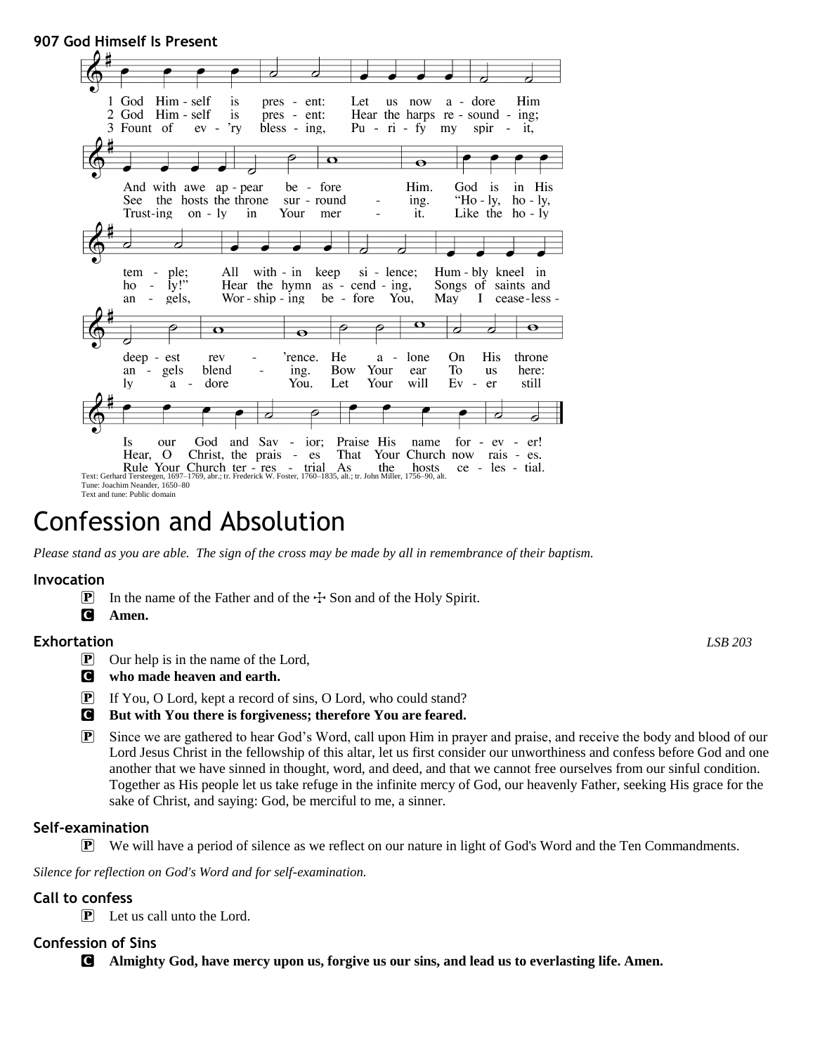# **907 God Himself Is Present**



# Confession and Absolution

*Please stand as you are able. The sign of the cross may be made by all in remembrance of their baptism.*

#### **Invocation**

- **P** In the name of the Father and of the  $\div$  Son and of the Holy Spirit.
- C **Amen.**

### **Exhortation** *LSB 203*

- P Our help is in the name of the Lord,
- C **who made heaven and earth.**
- P If You, O Lord, kept a record of sins, O Lord, who could stand?
- C **But with You there is forgiveness; therefore You are feared.**
- P Since we are gathered to hear God's Word, call upon Him in prayer and praise, and receive the body and blood of our Lord Jesus Christ in the fellowship of this altar, let us first consider our unworthiness and confess before God and one another that we have sinned in thought, word, and deed, and that we cannot free ourselves from our sinful condition. Together as His people let us take refuge in the infinite mercy of God, our heavenly Father, seeking His grace for the sake of Christ, and saying: God, be merciful to me, a sinner.

### **Self-examination**

P We will have a period of silence as we reflect on our nature in light of God's Word and the Ten Commandments.

*Silence for reflection on God's Word and for self-examination.*

### **Call to confess**

P Let us call unto the Lord.

# **Confession of Sins**

C **Almighty God, have mercy upon us, forgive us our sins, and lead us to everlasting life. Amen.**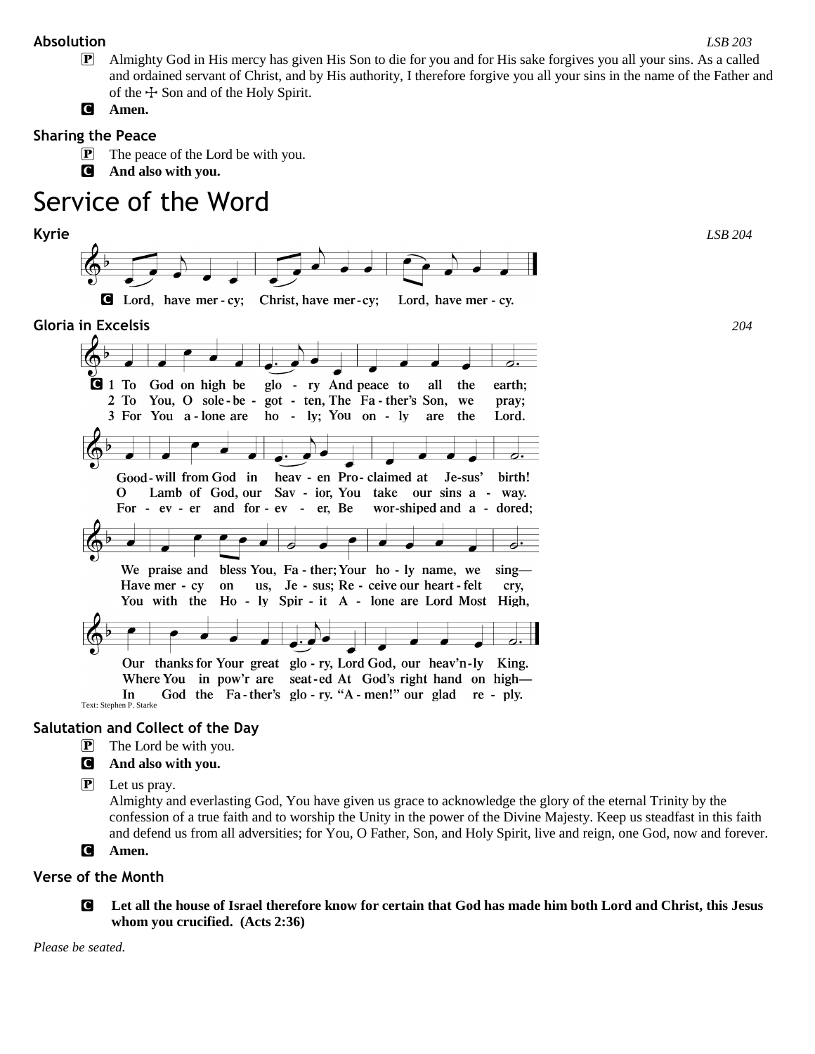### **Absolution** *LSB 203*

P Almighty God in His mercy has given His Son to die for you and for His sake forgives you all your sins. As a called and ordained servant of Christ, and by His authority, I therefore forgive you all your sins in the name of the Father and of the  $\pm$  Son and of the Holy Spirit.

C **Amen.**

# **Sharing the Peace**

- P The peace of the Lord be with you.
- C **And also with you.**

# Service of the Word



# **Salutation and Collect of the Day**

- **P** The Lord be with you.
- C **And also with you.**
- $\left| \mathbf{P} \right|$  Let us pray.

Almighty and everlasting God, You have given us grace to acknowledge the glory of the eternal Trinity by the confession of a true faith and to worship the Unity in the power of the Divine Majesty. Keep us steadfast in this faith and defend us from all adversities; for You, O Father, Son, and Holy Spirit, live and reign, one God, now and forever.

C **Amen.**

# **Verse of the Month**

C **Let all the house of Israel therefore know for certain that God has made him both Lord and Christ, this Jesus whom you crucified. (Acts 2:36)**

*Please be seated.*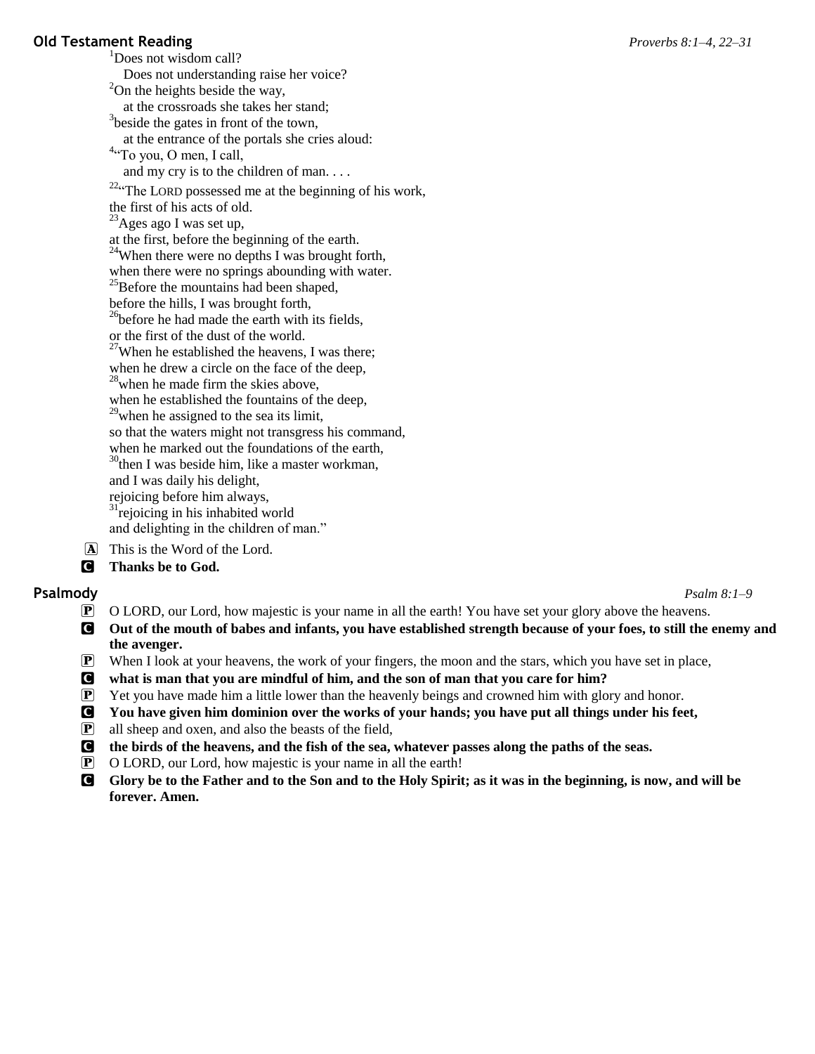#### **Old Testament Reading** *Proverbs 8:1–4, 22–31* <sup>1</sup>Does not wisdom call?

Does not understanding raise her voice?  $2$ On the heights beside the way, at the crossroads she takes her stand; <sup>3</sup>beside the gates in front of the town, at the entrance of the portals she cries aloud: <sup>4</sup>"To you, O men, I call, and my cry is to the children of man. . . . <sup>22a</sup>The LORD possessed me at the beginning of his work, the first of his acts of old.  $^{23}$ Ages ago I was set up, at the first, before the beginning of the earth. <sup>24</sup>When there were no depths I was brought forth, when there were no springs abounding with water. <sup>25</sup>Before the mountains had been shaped, before the hills, I was brought forth,  $^{26}$ before he had made the earth with its fields, or the first of the dust of the world.  $27$ When he established the heavens, I was there; when he drew a circle on the face of the deep,  $^{28}$ when he made firm the skies above, when he established the fountains of the deep,  $2<sup>9</sup>$ when he assigned to the sea its limit, so that the waters might not transgress his command, when he marked out the foundations of the earth,  $30$ <sup>30</sup>then I was beside him, like a master workman, and I was daily his delight, rejoicing before him always,  $31$ <sup>r</sup>ejoicing in his inhabited world and delighting in the children of man." A This is the Word of the Lord.

C **Thanks be to God.**

**Psalmody** *Psalm 8:1–9*

- P O LORD, our Lord, how majestic is your name in all the earth! You have set your glory above the heavens.
- C **Out of the mouth of babes and infants, you have established strength because of your foes, to still the enemy and the avenger.**
- $\mathbb{P}$  When I look at your heavens, the work of your fingers, the moon and the stars, which you have set in place,
- C **what is man that you are mindful of him, and the son of man that you care for him?**
- P Yet you have made him a little lower than the heavenly beings and crowned him with glory and honor.
- C **You have given him dominion over the works of your hands; you have put all things under his feet,**
- $\boxed{\mathbf{P}}$  all sheep and oxen, and also the beasts of the field,
- C **the birds of the heavens, and the fish of the sea, whatever passes along the paths of the seas.**
- P O LORD, our Lord, how majestic is your name in all the earth!
- C **Glory be to the Father and to the Son and to the Holy Spirit; as it was in the beginning, is now, and will be forever. Amen.**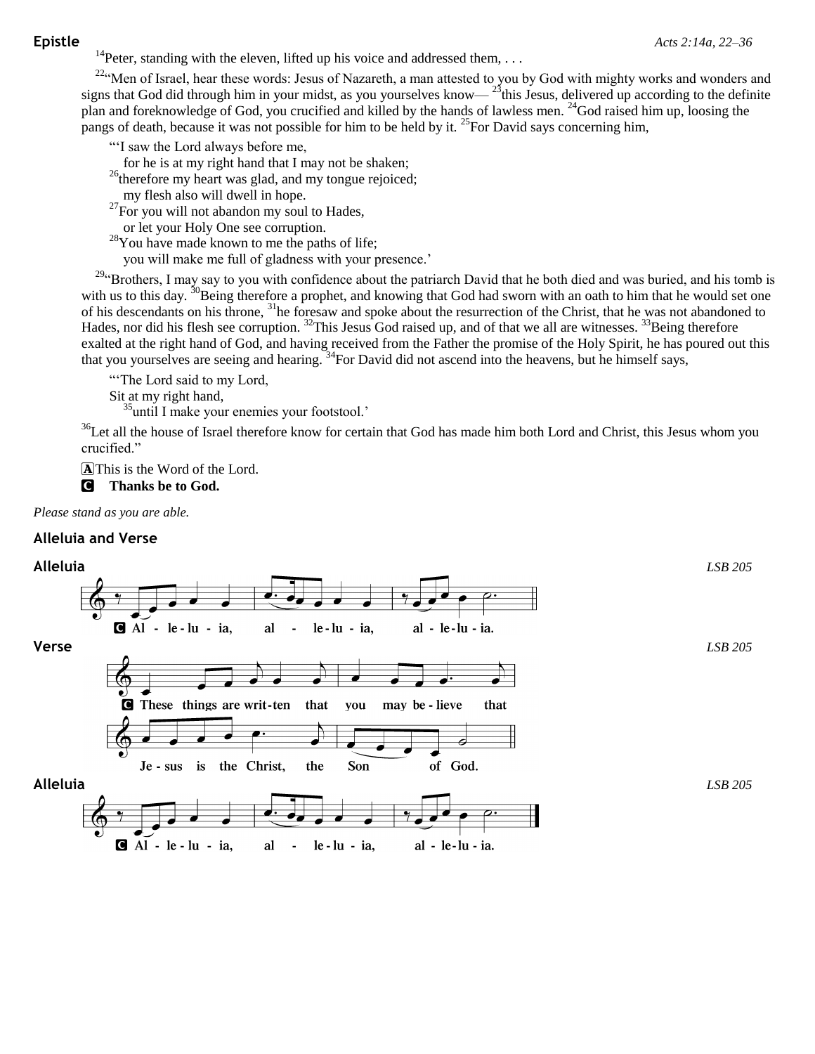<sup>14</sup>Peter, standing with the eleven, lifted up his voice and addressed them, ...

<sup>22</sup>"Men of Israel, hear these words: Jesus of Nazareth, a man attested to you by God with mighty works and wonders and signs that God did through him in your midst, as you yourselves know— $25$ this Jesus, delivered up according to the definite plan and foreknowledge of God, you crucified and killed by the hands of lawless men. <sup>24</sup>God raised him up, loosing the pangs of death, because it was not possible for him to be held by it. <sup>25</sup>For David says concerning him,

"'I saw the Lord always before me,

for he is at my right hand that I may not be shaken;

<sup>26</sup>therefore my heart was glad, and my tongue rejoiced;

my flesh also will dwell in hope.

 $^{27}$ For you will not abandon my soul to Hades,

or let your Holy One see corruption.

<sup>28</sup>You have made known to me the paths of life;

you will make me full of gladness with your presence.'

<sup>29</sup>"Brothers, I may say to you with confidence about the patriarch David that he both died and was buried, and his tomb is with us to this day. <sup>30</sup>Being therefore a prophet, and knowing that God had sworn with an oath to him that he would set one of his descendants on his throne, <sup>31</sup>he foresaw and spoke about the resurrection of the Christ, that he was not abandoned to Hades, nor did his flesh see corruption. <sup>32</sup>This Jesus God raised up, and of that we all are witnesses. <sup>33</sup>Being therefore exalted at the right hand of God, and having received from the Father the promise of the Holy Spirit, he has poured out this that you yourselves are seeing and hearing. <sup>34</sup>For David did not ascend into the heavens, but he himself says,

"The Lord said to my Lord,

Sit at my right hand,

<sup>35</sup>until I make your enemies your footstool.'

<sup>36</sup>Let all the house of Israel therefore know for certain that God has made him both Lord and Christ, this Jesus whom you crucified."

AThis is the Word of the Lord.

C **Thanks be to God.**

*Please stand as you are able.*

#### **Alleluia and Verse**

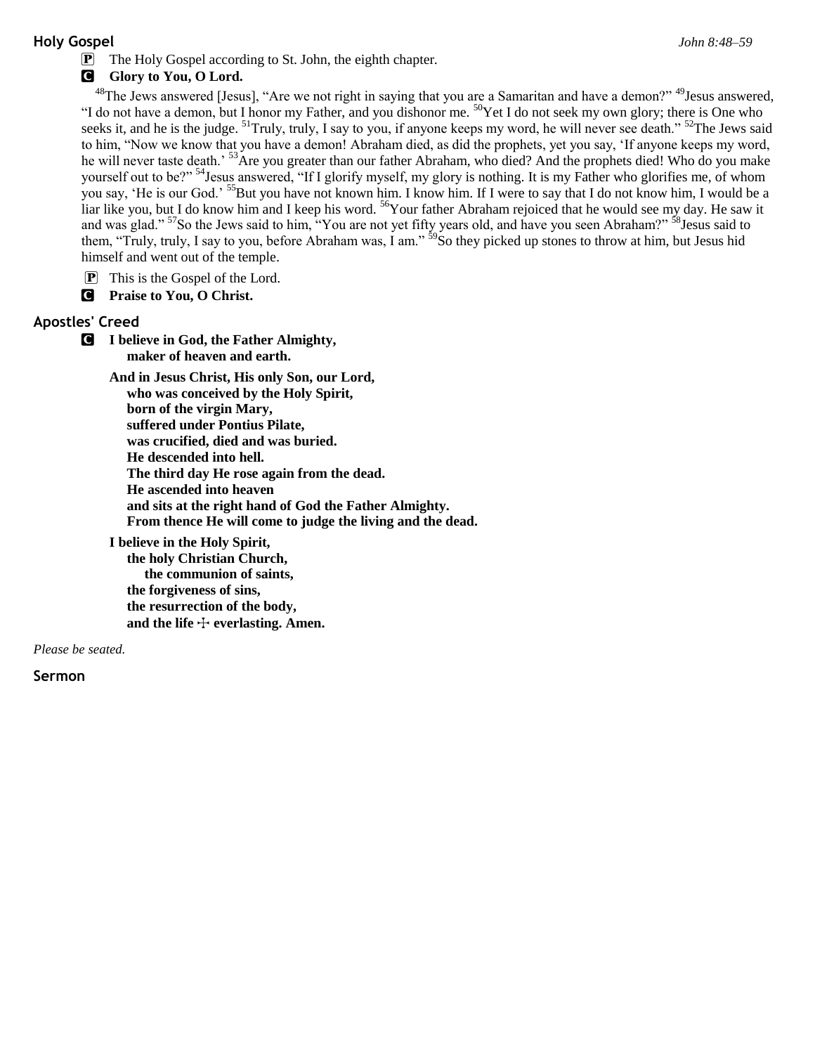# **Holy Gospel** *John 8:48–59*

# **G** Glory to You, O Lord.

 $^{48}$ The Jews answered [Jesus], "Are we not right in saying that you are a Samaritan and have a demon?"  $^{49}$ Jesus answered, "I do not have a demon, but I honor my Father, and you dishonor me. <sup>50</sup>Yet I do not seek my own glory; there is One who seeks it, and he is the judge. <sup>51</sup>Truly, truly, I say to you, if anyone keeps my word, he will never see death." <sup>52</sup>The Jews said to him, "Now we know that you have a demon! Abraham died, as did the prophets, yet you say, 'If anyone keeps my word, he will never taste death.<sup>53</sup>Are you greater than our father Abraham, who died? And the prophets died! Who do you make yourself out to be?"<sup>54</sup>Jesus answered, "If I glorify myself, my glory is nothing. It is my Father who glorifies me, of whom you say, 'He is our God.' <sup>55</sup>But you have not known him. I know him. If I were to say that I do not know him, I would be a liar like you, but I do know him and I keep his word. <sup>56</sup>Your father Abraham rejoiced that he would see my day. He saw it and was glad."<sup>57</sup>So the Jews said to him, "You are not yet fifty years old, and have you seen Abraham?" <sup>58</sup>Jesus said to them, "Truly, truly, I say to you, before Abraham was, I am." <sup>59</sup>So they picked up stones to throw at him, but Jesus hid himself and went out of the temple.

- P This is the Gospel of the Lord.
- C **Praise to You, O Christ.**

# **Apostles' Creed**

C **I believe in God, the Father Almighty, maker of heaven and earth.**

**And in Jesus Christ, His only Son, our Lord, who was conceived by the Holy Spirit, born of the virgin Mary, suffered under Pontius Pilate, was crucified, died and was buried. He descended into hell. The third day He rose again from the dead. He ascended into heaven and sits at the right hand of God the Father Almighty. From thence He will come to judge the living and the dead.**

**I believe in the Holy Spirit, the holy Christian Church, the communion of saints, the forgiveness of sins, the resurrection of the body,** and the life  $+$  everlasting. Amen.

*Please be seated.*

**Sermon**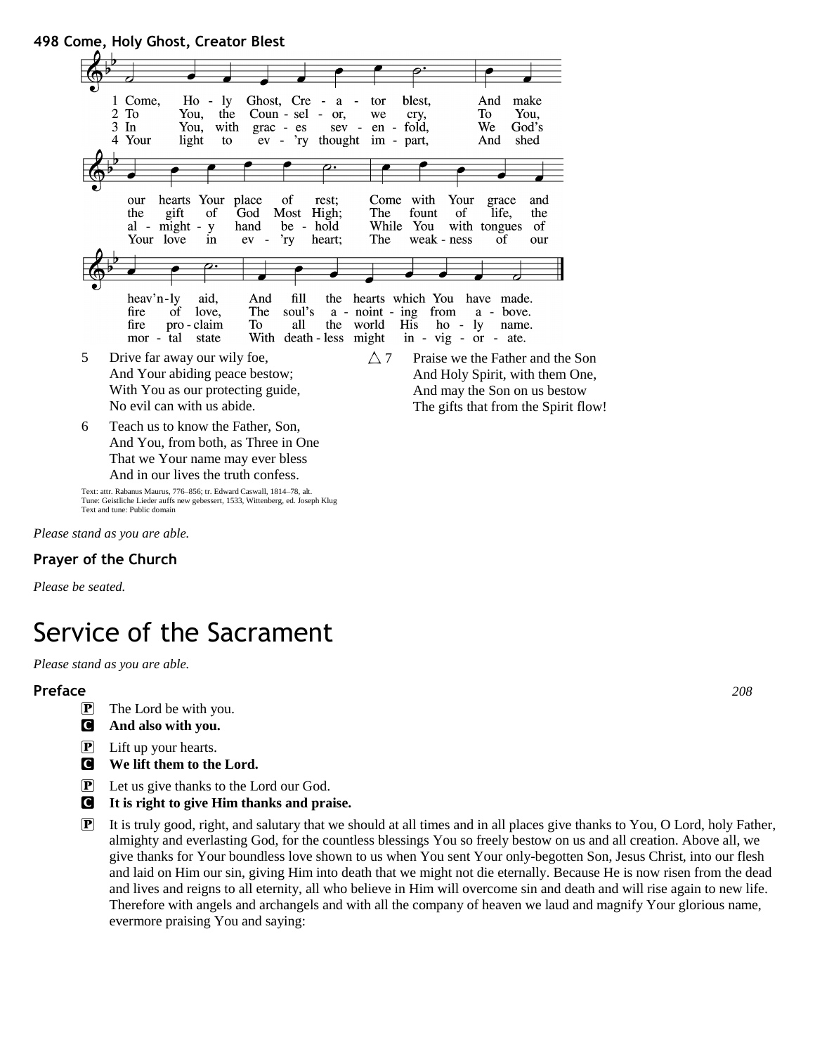

*Please stand as you are able.*

### **Prayer of the Church**

*Please be seated.*

# Service of the Sacrament

*Please stand as you are able.*

### **Preface** *208*

- $\mathbf{P}$  The Lord be with you.
- C **And also with you.**
- $\boxed{\mathbf{P}}$  Lift up your hearts.
- C **We lift them to the Lord.**
- P Let us give thanks to the Lord our God.
- C **It is right to give Him thanks and praise.**
- P It is truly good, right, and salutary that we should at all times and in all places give thanks to You, O Lord, holy Father, almighty and everlasting God, for the countless blessings You so freely bestow on us and all creation. Above all, we give thanks for Your boundless love shown to us when You sent Your only-begotten Son, Jesus Christ, into our flesh and laid on Him our sin, giving Him into death that we might not die eternally. Because He is now risen from the dead and lives and reigns to all eternity, all who believe in Him will overcome sin and death and will rise again to new life. Therefore with angels and archangels and with all the company of heaven we laud and magnify Your glorious name, evermore praising You and saying: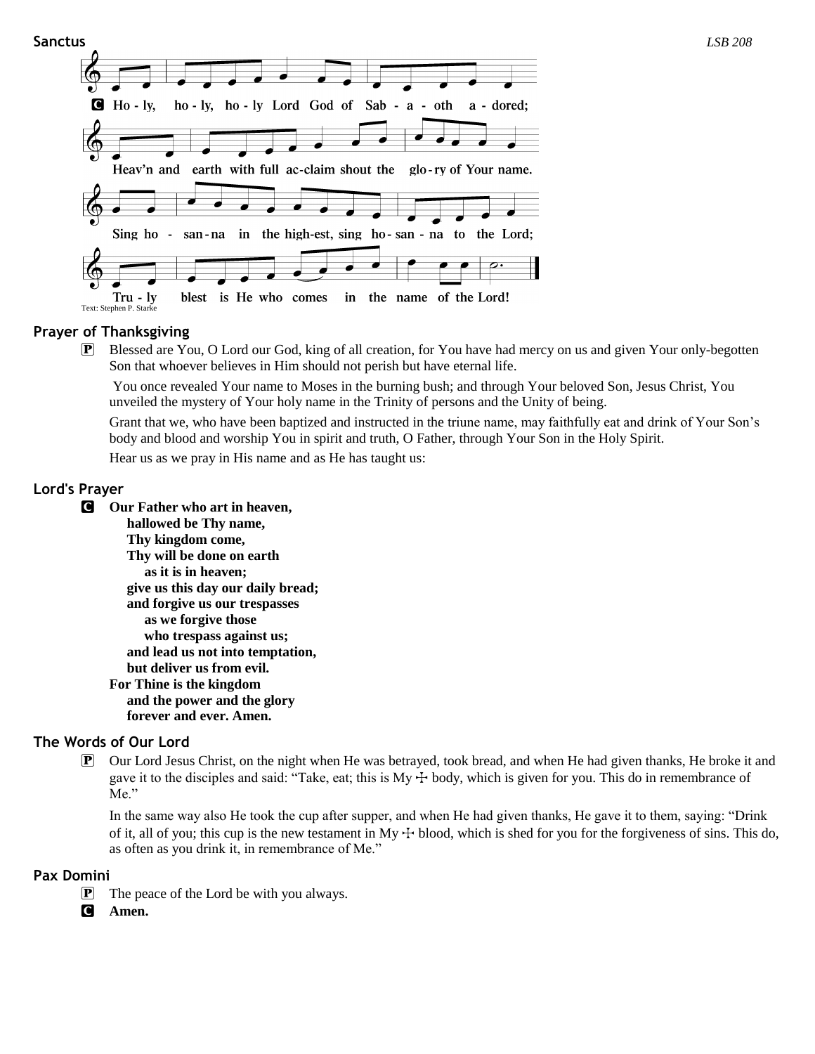

### **Prayer of Thanksgiving**

P Blessed are You, O Lord our God, king of all creation, for You have had mercy on us and given Your only-begotten Son that whoever believes in Him should not perish but have eternal life.

You once revealed Your name to Moses in the burning bush; and through Your beloved Son, Jesus Christ, You unveiled the mystery of Your holy name in the Trinity of persons and the Unity of being.

Grant that we, who have been baptized and instructed in the triune name, may faithfully eat and drink of Your Son's body and blood and worship You in spirit and truth, O Father, through Your Son in the Holy Spirit.

Hear us as we pray in His name and as He has taught us:

### **Lord's Prayer**

- C **Our Father who art in heaven,**
	- **hallowed be Thy name, Thy kingdom come, Thy will be done on earth as it is in heaven; give us this day our daily bread; and forgive us our trespasses as we forgive those who trespass against us; and lead us not into temptation, but deliver us from evil. For Thine is the kingdom and the power and the glory forever and ever. Amen.**

# **The Words of Our Lord**

P Our Lord Jesus Christ, on the night when He was betrayed, took bread, and when He had given thanks, He broke it and gave it to the disciples and said: "Take, eat; this is  $My + body$ , which is given for you. This do in remembrance of Me."

In the same way also He took the cup after supper, and when He had given thanks, He gave it to them, saying: "Drink of it, all of you; this cup is the new testament in My  $+$  blood, which is shed for you for the forgiveness of sins. This do, as often as you drink it, in remembrance of Me."

#### **Pax Domini**

- **P** The peace of the Lord be with you always.
- C **Amen.**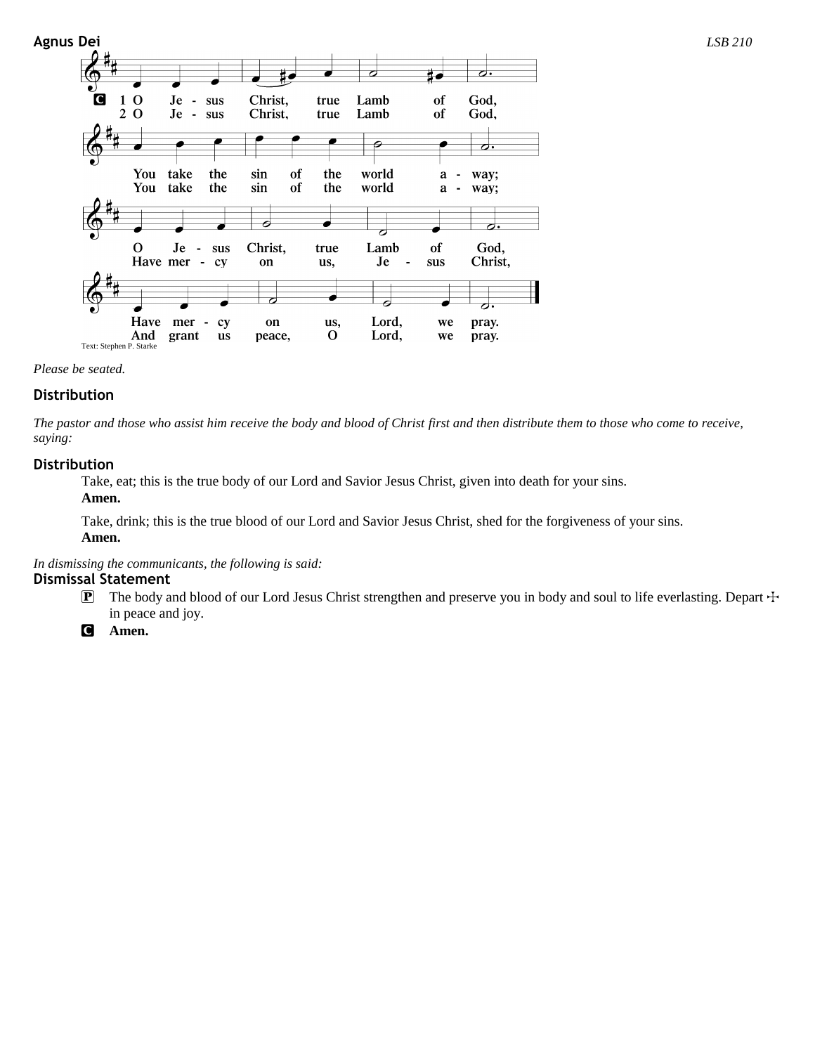

#### *Please be seated.*

#### **Distribution**

*The pastor and those who assist him receive the body and blood of Christ first and then distribute them to those who come to receive, saying:*

#### **Distribution**

Take, eat; this is the true body of our Lord and Savior Jesus Christ, given into death for your sins. **Amen.**

Take, drink; this is the true blood of our Lord and Savior Jesus Christ, shed for the forgiveness of your sins. **Amen.**

*In dismissing the communicants, the following is said:*

#### **Dismissal Statement**

- $\mathbb{P}$  The body and blood of our Lord Jesus Christ strengthen and preserve you in body and soul to life everlasting. Depart  $\pm$ in peace and joy.
- C **Amen.**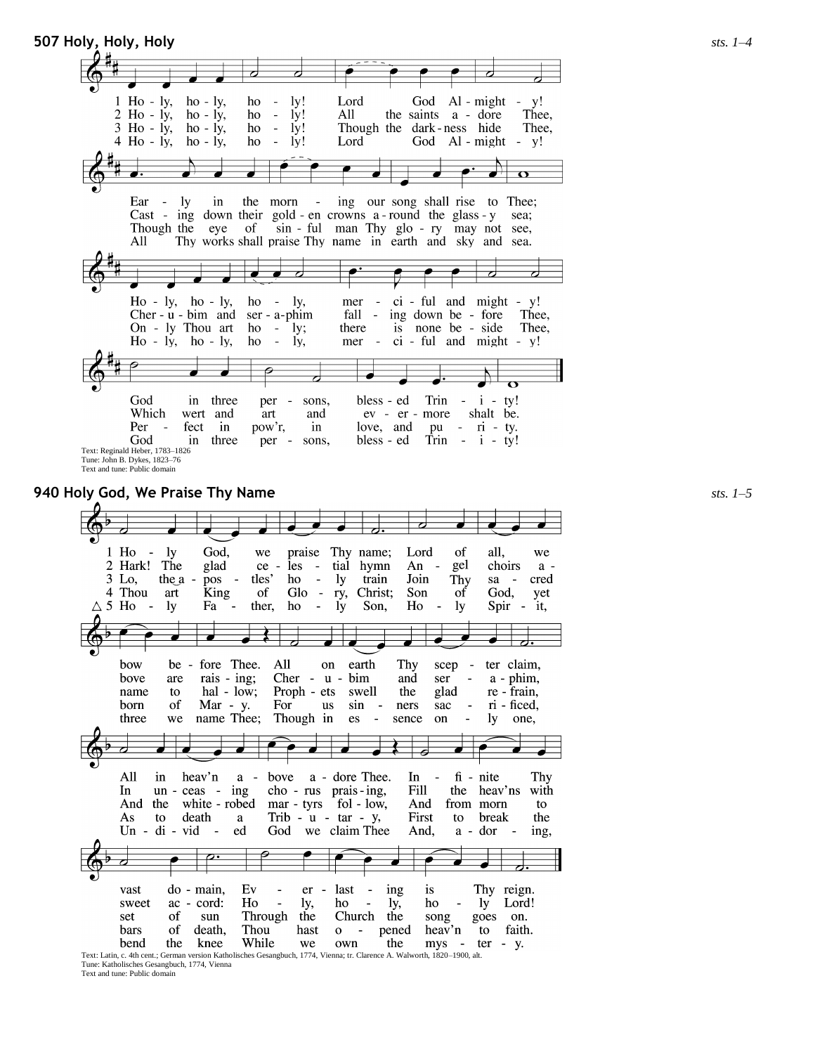**507 Holy, Holy, Holy** *sts. 1–4*  $Ho - ly,$ God Al - might  $ho - ly$ ,  $1y!$ Lord  $\mathbb{Z}^2$ y! ho J.  $2$  H<sub>o</sub> -  $1y$ ,  $ho - iy$ , ho  $\sim$  $1y!$ All the saints a - dore Thee.  $3$  Ho - ly,  $ho - ly$ , ho  $\sim$  $1y!$ Though the dark-ness hide Thee.  $4$  H<sub>o</sub> -  $1y$ , God Al - might - y!  $ho - ly$ , ho  $\bar{\mathcal{A}}$  $1<sub>V</sub>!$ Lord  $\overline{\mathbf{C}}$  $\operatorname{Ear}$  - $1v$ the morn ing our song shall rise to Thee;  $in$ Cast - ing down their gold - en crowns a - round the glass -  $y$ sea; Though the eye of sin - ful man Thy glo - ry may not see, Thy works shall praise Thy name in earth and sky and sea. All  $ci$  - ful and might -  $y!$  $Ho - ly$ ,  $ho - ly$ , ho  $\sim$ ly, mer  $\sim$ ing down be - fore<br>is none be - side Thee, Cher -  $u$  -  $b$ im and  $ser - a$ -phim fall -On - ly Thou art  $ho - ly;$ Thee, there  $Ho - Iy$ , ho - ly, ho - ly, mer  $\sim$   $$ ci - ful and might - y! God in three per sons, bless - ed Trin  $- i - ty!$ ev - er - more<br>love, and pu Which wert and art and shalt be. fect in pu -  $ri$  - ty.<br>Trin -  $i$  - ty! Per pow'r,  $in$ God in three bless - ed per - sons,

Text: Reginald Heber, 1783–1826 Tune: John B. Dykes, 1823–76 Text and tune: Public domain

**940 Holy God, We Praise Thy Name** *sts. 1–5*

praise Thy name; God.  $1$  Ho  $1v$ we Lord of all. we glad 2 Hark! The ce - les - tial hymn An gel choirs  $a -$ 3 Lo, the a pos tles' ho  $-1y$ train Join Thy cred  $\blacksquare$ sa -4 Thou art King of  $Glo$  - ry, Christ; Son of God, yet  $\triangle$  5 Ho ther, Ho <sub>1y</sub> ho Son, ly Spir - it,  $\sim$   $-$ Fa  $\overline{\phantom{a}}$  $\overline{\phantom{a}}$ ly.  $\overline{\phantom{a}}$ Thy fore Thee. All earth how  $be$ on scep ter claim, bove are rais - ing; Cher - u bim and ser  $a - phim,$ glad name to  $hal - low;$ Proph - ets swell the re - frain, born of  $Mar - y$ . For us  $sin$ ners sac ri - ficed,  $\sim$ name Thee; Though in three we  $\mathop{\rm es}\nolimits$ sence on lу one,  $\overline{\phantom{a}}$  $\overline{\phantom{a}}$  $\overline{\bullet}$ All heav'n bove a - dore Thee. In  $fi$  - nite Thy  $in$  $a -$ Fill In  $un - ceas - ing$ cho - rus prais-ing, the heav'ns with And the white - robed mar - tyrs fol - low, And from morn to  $As$ to death  $\mathbf{a}$ Trib -  $u$  -  $tar$  -  $y$ , First to break the  $Un - di - vid$ God we claim Thee And,  $\sim$ ed a - dor ing, Thy reign. ing Ev last vast do - main, er is Ho  $\frac{1}{2}$  $\sim$ ly Lord! sweet  $ac - cord$ : ly, ho ly, ho song set of sun Through the Church the goes on. bars of death, Thou hast  $\mathbf O$ - pened heav'n to faith. While bend the knee we the mys - ter - y. own

Text: Latin, c. 4th cent.; German version Katholisches Gesangbuch, 1774, Vienna; tr. Clarence A. Walworth, 1820–1900, alt. Tune: Katholisches Gesangbuch, 1774, Vienna Text and tune: Public domain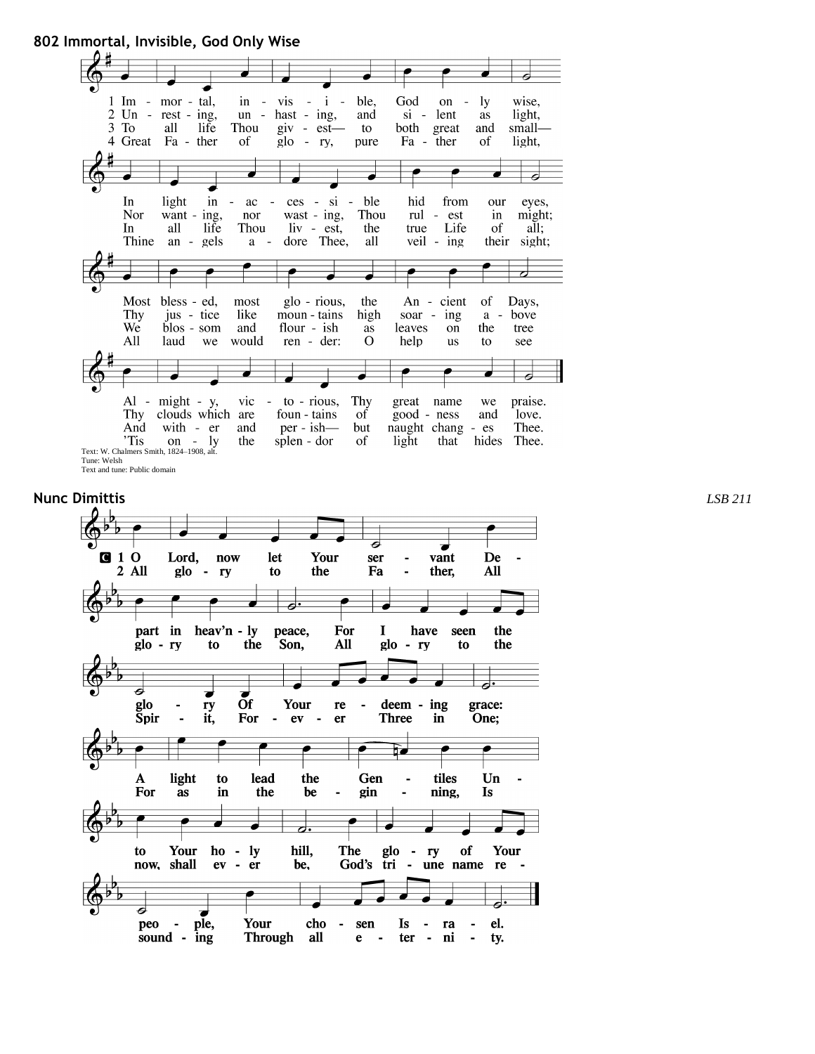**802 Immortal, Invisible, God Only Wise**